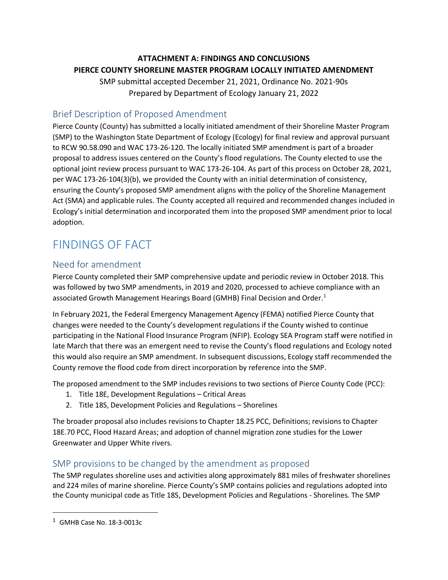## **ATTACHMENT A: FINDINGS AND CONCLUSIONS PIERCE COUNTY SHORELINE MASTER PROGRAM LOCALLY INITIATED AMENDMENT**

SMP submittal accepted December 21, 2021, Ordinance No. 2021-90s Prepared by Department of Ecology January 21, 2022

## Brief Description of Proposed Amendment

Pierce County (County) has submitted a locally initiated amendment of their Shoreline Master Program (SMP) to the Washington State Department of Ecology (Ecology) for final review and approval pursuant to RCW 90.58.090 and WAC 173-26-120. The locally initiated SMP amendment is part of a broader proposal to address issues centered on the County's flood regulations. The County elected to use the optional joint review process pursuant to WAC 173-26-104. As part of this process on October 28, 2021, per WAC 173-26-104(3)(b), we provided the County with an initial determination of consistency, ensuring the County's proposed SMP amendment aligns with the policy of the Shoreline Management Act (SMA) and applicable rules. The County accepted all required and recommended changes included in Ecology's initial determination and incorporated them into the proposed SMP amendment prior to local adoption.

# FINDINGS OF FACT

## Need for amendment

Pierce County completed their SMP comprehensive update and periodic review in October 2018. This was followed by two SMP amendments, in 2019 and 2020, processed to achieve compliance with an associated Growth Management Hearings Board (GMHB) Final Decision and Order. [1](#page-0-0)

In February 2021, the Federal Emergency Management Agency (FEMA) notified Pierce County that changes were needed to the County's development regulations if the County wished to continue participating in the National Flood Insurance Program (NFIP). Ecology SEA Program staff were notified in late March that there was an emergent need to revise the County's flood regulations and Ecology noted this would also require an SMP amendment. In subsequent discussions, Ecology staff recommended the County remove the flood code from direct incorporation by reference into the SMP.

The proposed amendment to the SMP includes revisions to two sections of Pierce County Code (PCC):

- 1. Title 18E, Development Regulations Critical Areas
- 2. Title 18S, Development Policies and Regulations Shorelines

The broader proposal also includes revisions to Chapter 18.25 PCC, Definitions; revisions to Chapter 18E.70 PCC, Flood Hazard Areas; and adoption of channel migration zone studies for the Lower Greenwater and Upper White rivers.

## SMP provisions to be changed by the amendment as proposed

The SMP regulates shoreline uses and activities along approximately 881 miles of freshwater shorelines and 224 miles of marine shoreline. Pierce County's SMP contains policies and regulations adopted into the County municipal code as Title 18S, Development Policies and Regulations - Shorelines. The SMP

<span id="page-0-0"></span> $\overline{1}$ GMHB Case No. 18-3-0013c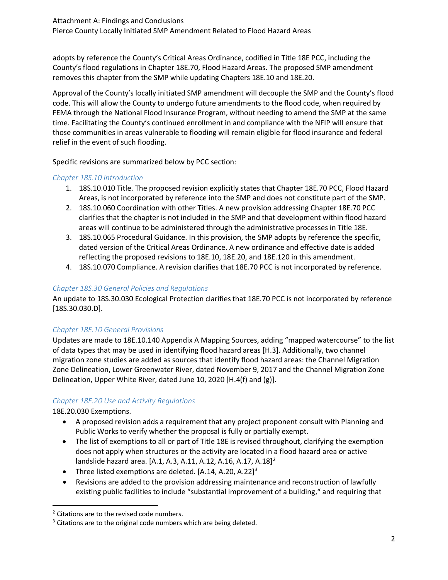adopts by reference the County's Critical Areas Ordinance, codified in Title 18E PCC, including the County's flood regulations in Chapter 18E.70, Flood Hazard Areas. The proposed SMP amendment removes this chapter from the SMP while updating Chapters 18E.10 and 18E.20.

Approval of the County's locally initiated SMP amendment will decouple the SMP and the County's flood code. This will allow the County to undergo future amendments to the flood code, when required by FEMA through the National Flood Insurance Program, without needing to amend the SMP at the same time. Facilitating the County's continued enrollment in and compliance with the NFIP will ensure that those communities in areas vulnerable to flooding will remain eligible for flood insurance and federal relief in the event of such flooding.

Specific revisions are summarized below by PCC section:

#### *Chapter 18S.10 Introduction*

- 1. 18S.10.010 Title. The proposed revision explicitly states that Chapter 18E.70 PCC, Flood Hazard Areas, is not incorporated by reference into the SMP and does not constitute part of the SMP.
- 2. 18S.10.060 Coordination with other Titles. A new provision addressing Chapter 18E.70 PCC clarifies that the chapter is not included in the SMP and that development within flood hazard areas will continue to be administered through the administrative processes in Title 18E.
- 3. 18S.10.065 Procedural Guidance. In this provision, the SMP adopts by reference the specific, dated version of the Critical Areas Ordinance. A new ordinance and effective date is added reflecting the proposed revisions to 18E.10, 18E.20, and 18E.120 in this amendment.
- 4. 18S.10.070 Compliance. A revision clarifies that 18E.70 PCC is not incorporated by reference.

#### *Chapter 18S.30 General Policies and Regulations*

An update to 18S.30.030 Ecological Protection clarifies that 18E.70 PCC is not incorporated by reference [18S.30.030.D].

#### *Chapter 18E.10 General Provisions*

Updates are made to 18E.10.140 Appendix A Mapping Sources, adding "mapped watercourse" to the list of data types that may be used in identifying flood hazard areas [H.3]. Additionally, two channel migration zone studies are added as sources that identify flood hazard areas: the Channel Migration Zone Delineation, Lower Greenwater River, dated November 9, 2017 and the Channel Migration Zone Delineation, Upper White River, dated June 10, 2020 [H.4(f) and (g)].

#### *Chapter 18E.20 Use and Activity Regulations*

18E.20.030 Exemptions.

- A proposed revision adds a requirement that any project proponent consult with Planning and Public Works to verify whether the proposal is fully or partially exempt.
- The list of exemptions to all or part of Title 18E is revised throughout, clarifying the exemption does not apply when structures or the activity are located in a flood hazard area or active landslide hazard area. [A.1, A.3, A.11, A.1[2](#page-1-0), A.16, A.17, A.18]<sup>2</sup>
- Three listed exemptions are deleted.  $[A.14, A.20, A.22]^3$
- Revisions are added to the provision addressing maintenance and reconstruction of lawfully existing public facilities to include "substantial improvement of a building," and requiring that

<span id="page-1-0"></span><sup>&</sup>lt;sup>2</sup> Citations are to the revised code numbers.

<span id="page-1-1"></span><sup>&</sup>lt;sup>3</sup> Citations are to the original code numbers which are being deleted.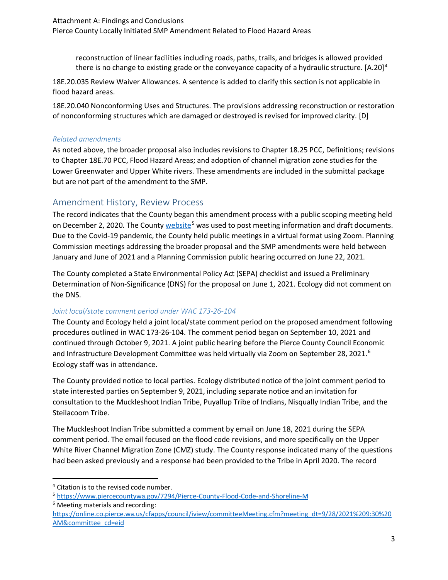reconstruction of linear facilities including roads, paths, trails, and bridges is allowed provided there is no change to existing grade or the conveyance capacity of a hydraulic structure.  $[A.20]$ <sup>[4](#page-2-0)</sup>

18E.20.035 Review Waiver Allowances. A sentence is added to clarify this section is not applicable in flood hazard areas.

18E.20.040 Nonconforming Uses and Structures. The provisions addressing reconstruction or restoration of nonconforming structures which are damaged or destroyed is revised for improved clarity. [D]

#### *Related amendments*

As noted above, the broader proposal also includes revisions to Chapter 18.25 PCC, Definitions; revisions to Chapter 18E.70 PCC, Flood Hazard Areas; and adoption of channel migration zone studies for the Lower Greenwater and Upper White rivers. These amendments are included in the submittal package but are not part of the amendment to the SMP.

## Amendment History, Review Process

The record indicates that the County began this amendment process with a public scoping meeting held on December 2, 2020. The County [website](https://www.piercecountywa.gov/7294/Pierce-County-Flood-Code-and-Shoreline-M)<sup>[5](#page-2-1)</sup> was used to post meeting information and draft documents. Due to the Covid-19 pandemic, the County held public meetings in a virtual format using Zoom. Planning Commission meetings addressing the broader proposal and the SMP amendments were held between January and June of 2021 and a Planning Commission public hearing occurred on June 22, 2021.

The County completed a State Environmental Policy Act (SEPA) checklist and issued a Preliminary Determination of Non-Significance (DNS) for the proposal on June 1, 2021. Ecology did not comment on the DNS.

#### *Joint local/state comment period under WAC 173-26-104*

The County and Ecology held a joint local/state comment period on the proposed amendment following procedures outlined in WAC 173-26-104. The comment period began on September 10, 2021 and continued through October 9, 2021. A joint public hearing before the Pierce County Council Economic and Infrastructure Development Committee was held virtually via Zoom on September 28, 2021.<sup>[6](#page-2-2)</sup> Ecology staff was in attendance.

The County provided notice to local parties. Ecology distributed notice of the joint comment period to state interested parties on September 9, 2021, including separate notice and an invitation for consultation to the Muckleshoot Indian Tribe, Puyallup Tribe of Indians, Nisqually Indian Tribe, and the Steilacoom Tribe.

The Muckleshoot Indian Tribe submitted a comment by email on June 18, 2021 during the SEPA comment period. The email focused on the flood code revisions, and more specifically on the Upper White River Channel Migration Zone (CMZ) study. The County response indicated many of the questions had been asked previously and a response had been provided to the Tribe in April 2020. The record

<span id="page-2-2"></span><sup>6</sup> Meeting materials and recording:

<span id="page-2-0"></span> <sup>4</sup> Citation is to the revised code number.

<span id="page-2-1"></span><sup>5</sup> <https://www.piercecountywa.gov/7294/Pierce-County-Flood-Code-and-Shoreline-M>

[https://online.co.pierce.wa.us/cfapps/council/iview/committeeMeeting.cfm?meeting\\_dt=9/28/2021%209:30%20](https://online.co.pierce.wa.us/cfapps/council/iview/committeeMeeting.cfm?meeting_dt=9/28/2021%209:30%20AM&committee_cd=eid) [AM&committee\\_cd=eid](https://online.co.pierce.wa.us/cfapps/council/iview/committeeMeeting.cfm?meeting_dt=9/28/2021%209:30%20AM&committee_cd=eid)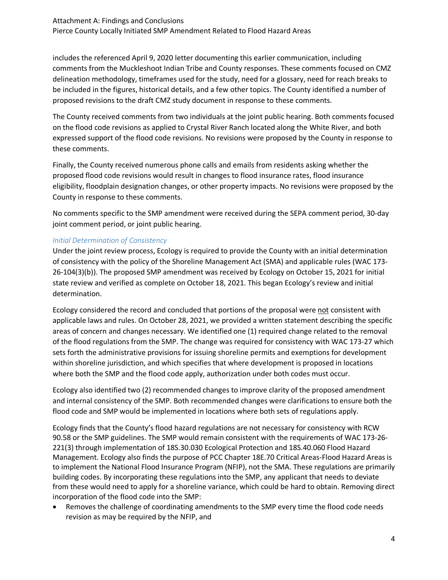includes the referenced April 9, 2020 letter documenting this earlier communication, including comments from the Muckleshoot Indian Tribe and County responses. These comments focused on CMZ delineation methodology, timeframes used for the study, need for a glossary, need for reach breaks to be included in the figures, historical details, and a few other topics. The County identified a number of proposed revisions to the draft CMZ study document in response to these comments.

The County received comments from two individuals at the joint public hearing. Both comments focused on the flood code revisions as applied to Crystal River Ranch located along the White River, and both expressed support of the flood code revisions. No revisions were proposed by the County in response to these comments.

Finally, the County received numerous phone calls and emails from residents asking whether the proposed flood code revisions would result in changes to flood insurance rates, flood insurance eligibility, floodplain designation changes, or other property impacts. No revisions were proposed by the County in response to these comments.

No comments specific to the SMP amendment were received during the SEPA comment period, 30-day joint comment period, or joint public hearing.

#### *Initial Determination of Consistency*

Under the joint review process, Ecology is required to provide the County with an initial determination of consistency with the policy of the Shoreline Management Act (SMA) and applicable rules (WAC 173- 26-104(3)(b)). The proposed SMP amendment was received by Ecology on October 15, 2021 for initial state review and verified as complete on October 18, 2021. This began Ecology's review and initial determination.

Ecology considered the record and concluded that portions of the proposal were not consistent with applicable laws and rules. On October 28, 2021, we provided a written statement describing the specific areas of concern and changes necessary. We identified one (1) required change related to the removal of the flood regulations from the SMP. The change was required for consistency with WAC 173-27 which sets forth the administrative provisions for issuing shoreline permits and exemptions for development within shoreline jurisdiction, and which specifies that where development is proposed in locations where both the SMP and the flood code apply, authorization under both codes must occur.

Ecology also identified two (2) recommended changes to improve clarity of the proposed amendment and internal consistency of the SMP. Both recommended changes were clarifications to ensure both the flood code and SMP would be implemented in locations where both sets of regulations apply.

Ecology finds that the County's flood hazard regulations are not necessary for consistency with RCW 90.58 or the SMP guidelines. The SMP would remain consistent with the requirements of WAC 173-26- 221(3) through implementation of 18S.30.030 Ecological Protection and 18S.40.060 Flood Hazard Management. Ecology also finds the purpose of PCC Chapter 18E.70 Critical Areas-Flood Hazard Areas is to implement the National Flood Insurance Program (NFIP), not the SMA. These regulations are primarily building codes. By incorporating these regulations into the SMP, any applicant that needs to deviate from these would need to apply for a shoreline variance, which could be hard to obtain. Removing direct incorporation of the flood code into the SMP:

• Removes the challenge of coordinating amendments to the SMP every time the flood code needs revision as may be required by the NFIP, and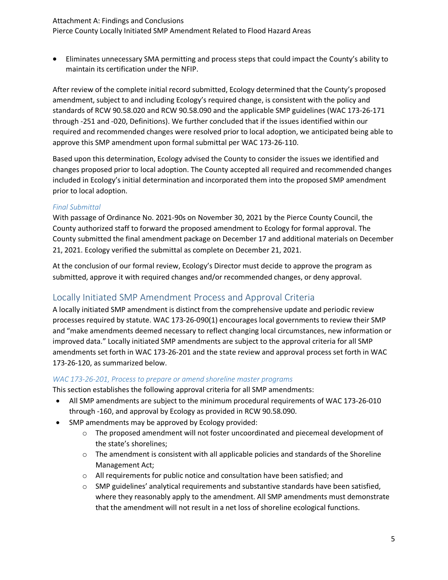#### Attachment A: Findings and Conclusions

Pierce County Locally Initiated SMP Amendment Related to Flood Hazard Areas

• Eliminates unnecessary SMA permitting and process steps that could impact the County's ability to maintain its certification under the NFIP.

After review of the complete initial record submitted, Ecology determined that the County's proposed amendment, subject to and including Ecology's required change, is consistent with the policy and standards of RCW 90.58.020 and RCW 90.58.090 and the applicable SMP guidelines (WAC 173-26-171 through -251 and -020, Definitions). We further concluded that if the issues identified within our required and recommended changes were resolved prior to local adoption, we anticipated being able to approve this SMP amendment upon formal submittal per WAC 173-26-110.

Based upon this determination, Ecology advised the County to consider the issues we identified and changes proposed prior to local adoption. The County accepted all required and recommended changes included in Ecology's initial determination and incorporated them into the proposed SMP amendment prior to local adoption.

#### *Final Submittal*

With passage of Ordinance No. 2021-90s on November 30, 2021 by the Pierce County Council, the County authorized staff to forward the proposed amendment to Ecology for formal approval. The County submitted the final amendment package on December 17 and additional materials on December 21, 2021. Ecology verified the submittal as complete on December 21, 2021.

At the conclusion of our formal review, Ecology's Director must decide to approve the program as submitted, approve it with required changes and/or recommended changes, or deny approval.

## Locally Initiated SMP Amendment Process and Approval Criteria

A locally initiated SMP amendment is distinct from the comprehensive update and periodic review processes required by statute. WAC 173-26-090(1) encourages local governments to review their SMP and "make amendments deemed necessary to reflect changing local circumstances, new information or improved data." Locally initiated SMP amendments are subject to the approval criteria for all SMP amendments set forth in WAC 173-26-201 and the state review and approval process set forth in WAC 173-26-120, as summarized below.

#### *WAC 173-26-201, Process to prepare or amend shoreline master programs*

This section establishes the following approval criteria for all SMP amendments:

- All SMP amendments are subject to the minimum procedural requirements of WAC 173-26-010 through -160, and approval by Ecology as provided in RCW 90.58.090.
- SMP amendments may be approved by Ecology provided:
	- o The proposed amendment will not foster uncoordinated and piecemeal development of the state's shorelines;
	- o The amendment is consistent with all applicable policies and standards of the Shoreline Management Act;
	- o All requirements for public notice and consultation have been satisfied; and
	- o SMP guidelines' analytical requirements and substantive standards have been satisfied, where they reasonably apply to the amendment. All SMP amendments must demonstrate that the amendment will not result in a net loss of shoreline ecological functions.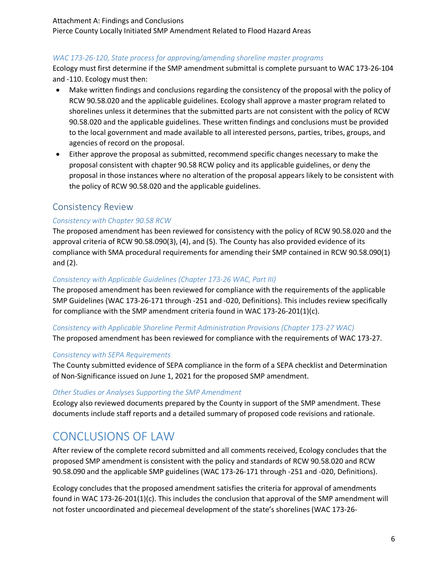#### *WAC 173-26-120, State process for approving/amending shoreline master programs*

Ecology must first determine if the SMP amendment submittal is complete pursuant to WAC 173-26-104 and -110. Ecology must then:

- Make written findings and conclusions regarding the consistency of the proposal with the policy of RCW 90.58.020 and the applicable guidelines. Ecology shall approve a master program related to shorelines unless it determines that the submitted parts are not consistent with the policy of RCW 90.58.020 and the applicable guidelines. These written findings and conclusions must be provided to the local government and made available to all interested persons, parties, tribes, groups, and agencies of record on the proposal.
- Either approve the proposal as submitted, recommend specific changes necessary to make the proposal consistent with chapter 90.58 RCW policy and its applicable guidelines, or deny the proposal in those instances where no alteration of the proposal appears likely to be consistent with the policy of RCW 90.58.020 and the applicable guidelines.

### Consistency Review

#### *Consistency with Chapter 90.58 RCW*

The proposed amendment has been reviewed for consistency with the policy of RCW 90.58.020 and the approval criteria of RCW 90.58.090(3), (4), and (5). The County has also provided evidence of its compliance with SMA procedural requirements for amending their SMP contained in RCW 90.58.090(1) and (2).

#### *Consistency with Applicable Guidelines (Chapter 173-26 WAC, Part III)*

The proposed amendment has been reviewed for compliance with the requirements of the applicable SMP Guidelines (WAC 173-26-171 through -251 and -020, Definitions). This includes review specifically for compliance with the SMP amendment criteria found in WAC 173-26-201(1)(c).

#### *Consistency with Applicable Shoreline Permit Administration Provisions (Chapter 173-27 WAC)*

The proposed amendment has been reviewed for compliance with the requirements of WAC 173-27.

#### *Consistency with SEPA Requirements*

The County submitted evidence of SEPA compliance in the form of a SEPA checklist and Determination of Non-Significance issued on June 1, 2021 for the proposed SMP amendment.

#### *Other Studies or Analyses Supporting the SMP Amendment*

Ecology also reviewed documents prepared by the County in support of the SMP amendment. These documents include staff reports and a detailed summary of proposed code revisions and rationale.

## CONCLUSIONS OF LAW

After review of the complete record submitted and all comments received, Ecology concludes that the proposed SMP amendment is consistent with the policy and standards of RCW 90.58.020 and RCW 90.58.090 and the applicable SMP guidelines (WAC 173-26-171 through -251 and -020, Definitions).

Ecology concludes that the proposed amendment satisfies the criteria for approval of amendments found in WAC 173-26-201(1)(c). This includes the conclusion that approval of the SMP amendment will not foster uncoordinated and piecemeal development of the state's shorelines (WAC 173-26-